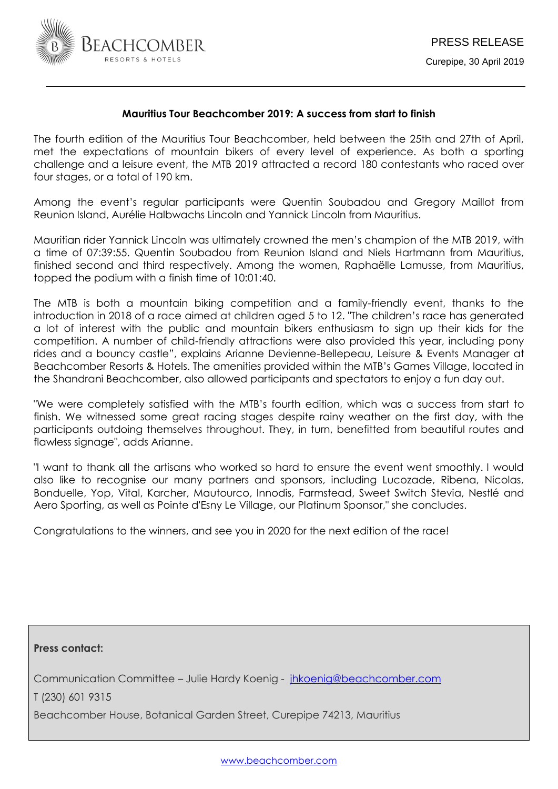

# **Mauritius Tour Beachcomber 2019: A success from start to finish**

The fourth edition of the Mauritius Tour Beachcomber, held between the 25th and 27th of April, met the expectations of mountain bikers of every level of experience. As both a sporting challenge and a leisure event, the MTB 2019 attracted a record 180 contestants who raced over four stages, or a total of 190 km.

Among the event's regular participants were Quentin Soubadou and Gregory Maillot from Reunion Island, Aurélie Halbwachs Lincoln and Yannick Lincoln from Mauritius.

Mauritian rider Yannick Lincoln was ultimately crowned the men's champion of the MTB 2019, with a time of 07:39:55. Quentin Soubadou from Reunion Island and Niels Hartmann from Mauritius, finished second and third respectively. Among the women, Raphaëlle Lamusse, from Mauritius, topped the podium with a finish time of 10:01:40.

The MTB is both a mountain biking competition and a family-friendly event, thanks to the introduction in 2018 of a race aimed at children aged 5 to 12. "The children's race has generated a lot of interest with the public and mountain bikers enthusiasm to sign up their kids for the competition. A number of child-friendly attractions were also provided this year, including pony rides and a bouncy castle", explains Arianne Devienne-Bellepeau, Leisure & Events Manager at Beachcomber Resorts & Hotels. The amenities provided within the MTB's Games Village, located in the Shandrani Beachcomber, also allowed participants and spectators to enjoy a fun day out.

"We were completely satisfied with the MTB's fourth edition, which was a success from start to finish. We witnessed some great racing stages despite rainy weather on the first day, with the participants outdoing themselves throughout. They, in turn, benefitted from beautiful routes and flawless signage", adds Arianne.

"I want to thank all the artisans who worked so hard to ensure the event went smoothly. I would also like to recognise our many partners and sponsors, including Lucozade, Ribena, Nicolas, Bonduelle, Yop, Vital, Karcher, Mautourco, Innodis, Farmstead, Sweet Switch Stevia, Nestlé and Aero Sporting, as well as Pointe d'Esny Le Village, our Platinum Sponsor," she concludes.

Congratulations to the winners, and see you in 2020 for the next edition of the race!

**Press contact:**  Communication Committee – Julie Hardy Koenig - [jhkoenig@beachcomber.com](mailto:jhkoenig@beachcomber.com) 

T (230) 601 9315

Beachcomber House, Botanical Garden Street, Curepipe 74213, Mauritius